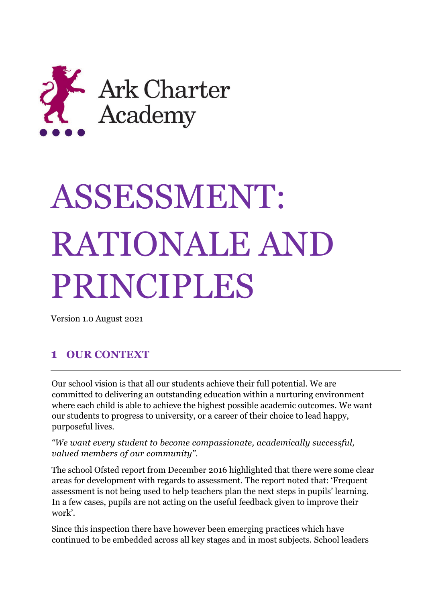

# ASSESSMENT: RATIONALE AND PRINCIPLES

Version 1.0 August 2021

# **1 OUR CONTEXT**

Our school vision is that all our students achieve their full potential. We are committed to delivering an outstanding education within a nurturing environment where each child is able to achieve the highest possible academic outcomes. We want our students to progress to university, or a career of their choice to lead happy, purposeful lives.

*"We want every student to become compassionate, academically successful, valued members of our community".*

The school Ofsted report from December 2016 highlighted that there were some clear areas for development with regards to assessment. The report noted that: 'Frequent assessment is not being used to help teachers plan the next steps in pupils' learning. In a few cases, pupils are not acting on the useful feedback given to improve their work'.

Since this inspection there have however been emerging practices which have continued to be embedded across all key stages and in most subjects. School leaders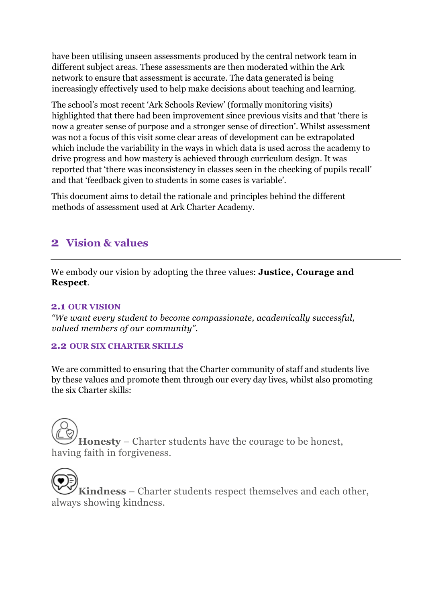have been utilising unseen assessments produced by the central network team in different subject areas. These assessments are then moderated within the Ark network to ensure that assessment is accurate. The data generated is being increasingly effectively used to help make decisions about teaching and learning.

The school's most recent 'Ark Schools Review' (formally monitoring visits) highlighted that there had been improvement since previous visits and that 'there is now a greater sense of purpose and a stronger sense of direction'. Whilst assessment was not a focus of this visit some clear areas of development can be extrapolated which include the variability in the ways in which data is used across the academy to drive progress and how mastery is achieved through curriculum design. It was reported that 'there was inconsistency in classes seen in the checking of pupils recall' and that 'feedback given to students in some cases is variable'.

This document aims to detail the rationale and principles behind the different methods of assessment used at Ark Charter Academy.

# **2 Vision & values**

We embody our vision by adopting the three values: **Justice, Courage and Respect**.

## **2.1 OUR VISION**

*"We want every student to become compassionate, academically successful, valued members of our community".* 

## **2.2 OUR SIX CHARTER SKILLS**

We are committed to ensuring that the Charter community of staff and students live by these values and promote them through our every day lives, whilst also promoting the six Charter skills:

**Honesty** – Charter students have the courage to be honest, having faith in forgiveness.

**Kindness** – Charter students respect themselves and each other, always showing kindness.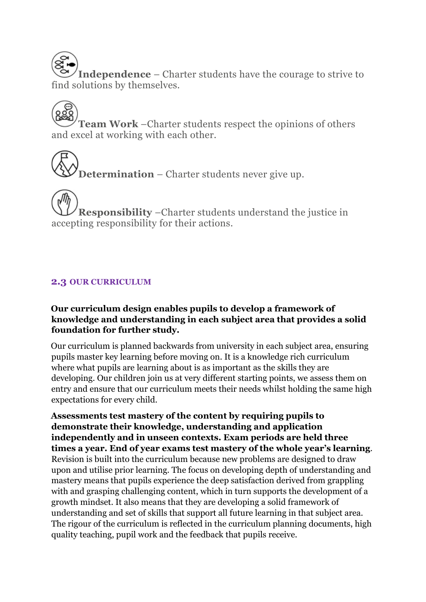**Independence** – Charter students have the courage to strive to find solutions by themselves.

**Team Work** –Charter students respect the opinions of others and excel at working with each other.

**Determination** – Charter students never give up.

**Responsibility** –Charter students understand the justice in accepting responsibility for their actions.

# **2.3 OUR CURRICULUM**

## **Our curriculum design enables pupils to develop a framework of knowledge and understanding in each subject area that provides a solid foundation for further study.**

Our curriculum is planned backwards from university in each subject area, ensuring pupils master key learning before moving on. It is a knowledge rich curriculum where what pupils are learning about is as important as the skills they are developing. Our children join us at very different starting points, we assess them on entry and ensure that our curriculum meets their needs whilst holding the same high expectations for every child.

**Assessments test mastery of the content by requiring pupils to demonstrate their knowledge, understanding and application independently and in unseen contexts. Exam periods are held three times a year. End of year exams test mastery of the whole year's learning**. Revision is built into the curriculum because new problems are designed to draw upon and utilise prior learning. The focus on developing depth of understanding and mastery means that pupils experience the deep satisfaction derived from grappling with and grasping challenging content, which in turn supports the development of a growth mindset. It also means that they are developing a solid framework of understanding and set of skills that support all future learning in that subject area. The rigour of the curriculum is reflected in the curriculum planning documents, high quality teaching, pupil work and the feedback that pupils receive.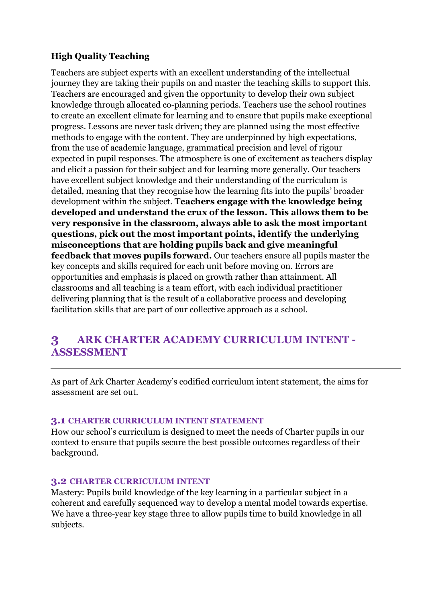## **High Quality Teaching**

Teachers are subject experts with an excellent understanding of the intellectual journey they are taking their pupils on and master the teaching skills to support this. Teachers are encouraged and given the opportunity to develop their own subject knowledge through allocated co-planning periods. Teachers use the school routines to create an excellent climate for learning and to ensure that pupils make exceptional progress. Lessons are never task driven; they are planned using the most effective methods to engage with the content. They are underpinned by high expectations, from the use of academic language, grammatical precision and level of rigour expected in pupil responses. The atmosphere is one of excitement as teachers display and elicit a passion for their subject and for learning more generally. Our teachers have excellent subject knowledge and their understanding of the curriculum is detailed, meaning that they recognise how the learning fits into the pupils' broader development within the subject. **Teachers engage with the knowledge being developed and understand the crux of the lesson. This allows them to be very responsive in the classroom, always able to ask the most important questions, pick out the most important points, identify the underlying misconceptions that are holding pupils back and give meaningful feedback that moves pupils forward.** Our teachers ensure all pupils master the key concepts and skills required for each unit before moving on. Errors are opportunities and emphasis is placed on growth rather than attainment. All classrooms and all teaching is a team effort, with each individual practitioner delivering planning that is the result of a collaborative process and developing facilitation skills that are part of our collective approach as a school.

# **3 ARK CHARTER ACADEMY CURRICULUM INTENT - ASSESSMENT**

As part of Ark Charter Academy's codified curriculum intent statement, the aims for assessment are set out.

#### **3.1 CHARTER CURRICULUM INTENT STATEMENT**

How our school's curriculum is designed to meet the needs of Charter pupils in our context to ensure that pupils secure the best possible outcomes regardless of their background.

#### **3.2 CHARTER CURRICULUM INTENT**

Mastery: Pupils build knowledge of the key learning in a particular subject in a coherent and carefully sequenced way to develop a mental model towards expertise. We have a three-year key stage three to allow pupils time to build knowledge in all subjects.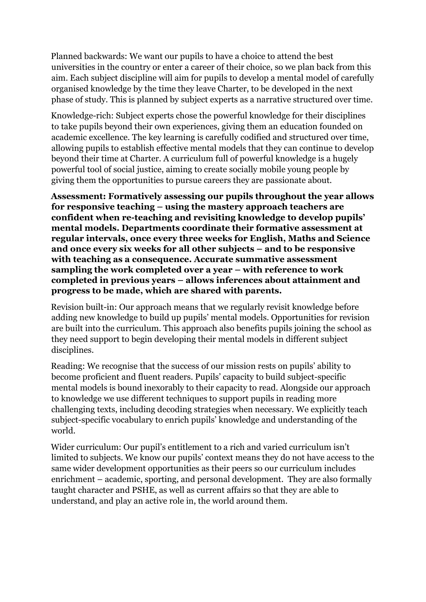Planned backwards: We want our pupils to have a choice to attend the best universities in the country or enter a career of their choice, so we plan back from this aim. Each subject discipline will aim for pupils to develop a mental model of carefully organised knowledge by the time they leave Charter, to be developed in the next phase of study. This is planned by subject experts as a narrative structured over time.

Knowledge-rich: Subject experts chose the powerful knowledge for their disciplines to take pupils beyond their own experiences, giving them an education founded on academic excellence. The key learning is carefully codified and structured over time, allowing pupils to establish effective mental models that they can continue to develop beyond their time at Charter. A curriculum full of powerful knowledge is a hugely powerful tool of social justice, aiming to create socially mobile young people by giving them the opportunities to pursue careers they are passionate about.

**Assessment: Formatively assessing our pupils throughout the year allows for responsive teaching – using the mastery approach teachers are confident when re-teaching and revisiting knowledge to develop pupils' mental models. Departments coordinate their formative assessment at regular intervals, once every three weeks for English, Maths and Science and once every six weeks for all other subjects – and to be responsive with teaching as a consequence. Accurate summative assessment sampling the work completed over a year – with reference to work completed in previous years – allows inferences about attainment and progress to be made, which are shared with parents.** 

Revision built-in: Our approach means that we regularly revisit knowledge before adding new knowledge to build up pupils' mental models. Opportunities for revision are built into the curriculum. This approach also benefits pupils joining the school as they need support to begin developing their mental models in different subject disciplines.

Reading: We recognise that the success of our mission rests on pupils' ability to become proficient and fluent readers. Pupils' capacity to build subject-specific mental models is bound inexorably to their capacity to read. Alongside our approach to knowledge we use different techniques to support pupils in reading more challenging texts, including decoding strategies when necessary. We explicitly teach subject-specific vocabulary to enrich pupils' knowledge and understanding of the world.

Wider curriculum: Our pupil's entitlement to a rich and varied curriculum isn't limited to subjects. We know our pupils' context means they do not have access to the same wider development opportunities as their peers so our curriculum includes enrichment – academic, sporting, and personal development. They are also formally taught character and PSHE, as well as current affairs so that they are able to understand, and play an active role in, the world around them.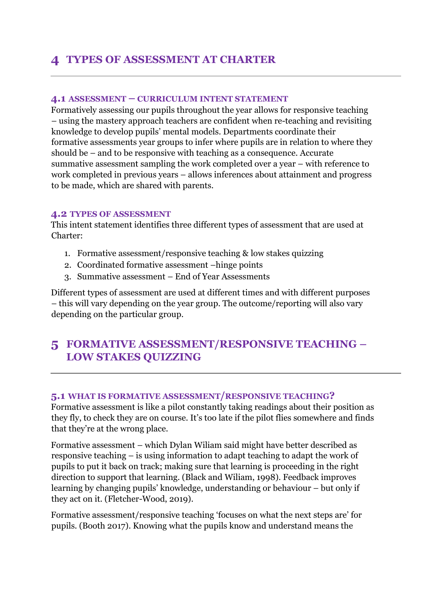# **4 TYPES OF ASSESSMENT AT CHARTER**

#### **4.1 ASSESSMENT – CURRICULUM INTENT STATEMENT**

Formatively assessing our pupils throughout the year allows for responsive teaching – using the mastery approach teachers are confident when re-teaching and revisiting knowledge to develop pupils' mental models. Departments coordinate their formative assessments year groups to infer where pupils are in relation to where they should be – and to be responsive with teaching as a consequence. Accurate summative assessment sampling the work completed over a year – with reference to work completed in previous years – allows inferences about attainment and progress to be made, which are shared with parents.

#### **4.2 TYPES OF ASSESSMENT**

This intent statement identifies three different types of assessment that are used at Charter:

- 1. Formative assessment/responsive teaching & low stakes quizzing
- 2. Coordinated formative assessment –hinge points
- 3. Summative assessment End of Year Assessments

Different types of assessment are used at different times and with different purposes – this will vary depending on the year group. The outcome/reporting will also vary depending on the particular group.

# **5 FORMATIVE ASSESSMENT/RESPONSIVE TEACHING – LOW STAKES QUIZZING**

## **5.1 WHAT IS FORMATIVE ASSESSMENT/RESPONSIVE TEACHING?**

Formative assessment is like a pilot constantly taking readings about their position as they fly, to check they are on course. It's too late if the pilot flies somewhere and finds that they're at the wrong place.

Formative assessment – which Dylan Wiliam said might have better described as responsive teaching – is using information to adapt teaching to adapt the work of pupils to put it back on track; making sure that learning is proceeding in the right direction to support that learning. (Black and Wiliam, 1998). Feedback improves learning by changing pupils' knowledge, understanding or behaviour – but only if they act on it. (Fletcher-Wood, 2019).

Formative assessment/responsive teaching 'focuses on what the next steps are' for pupils. (Booth 2017). Knowing what the pupils know and understand means the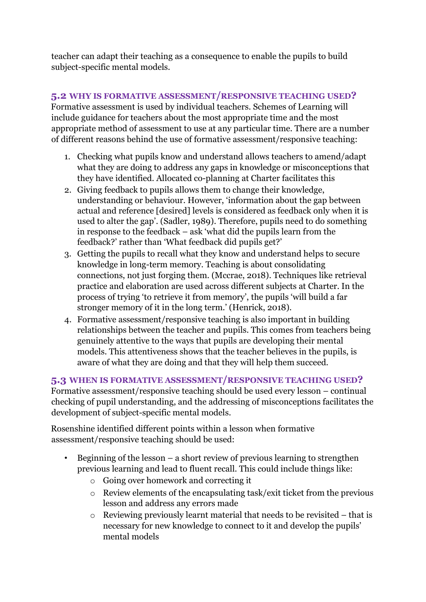teacher can adapt their teaching as a consequence to enable the pupils to build subject-specific mental models.

# **5.2 WHY IS FORMATIVE ASSESSMENT/RESPONSIVE TEACHING USED?**

Formative assessment is used by individual teachers. Schemes of Learning will include guidance for teachers about the most appropriate time and the most appropriate method of assessment to use at any particular time. There are a number of different reasons behind the use of formative assessment/responsive teaching:

- 1. Checking what pupils know and understand allows teachers to amend/adapt what they are doing to address any gaps in knowledge or misconceptions that they have identified. Allocated co-planning at Charter facilitates this
- 2. Giving feedback to pupils allows them to change their knowledge, understanding or behaviour. However, 'information about the gap between actual and reference [desired] levels is considered as feedback only when it is used to alter the gap'. (Sadler, 1989). Therefore, pupils need to do something in response to the feedback – ask 'what did the pupils learn from the feedback?' rather than 'What feedback did pupils get?'
- 3. Getting the pupils to recall what they know and understand helps to secure knowledge in long-term memory. Teaching is about consolidating connections, not just forging them. (Mccrae, 2018). Techniques like retrieval practice and elaboration are used across different subjects at Charter. In the process of trying 'to retrieve it from memory', the pupils 'will build a far stronger memory of it in the long term.' (Henrick, 2018).
- 4. Formative assessment/responsive teaching is also important in building relationships between the teacher and pupils. This comes from teachers being genuinely attentive to the ways that pupils are developing their mental models. This attentiveness shows that the teacher believes in the pupils, is aware of what they are doing and that they will help them succeed.

# **5.3 WHEN IS FORMATIVE ASSESSMENT/RESPONSIVE TEACHING USED?**

Formative assessment/responsive teaching should be used every lesson – continual checking of pupil understanding, and the addressing of misconceptions facilitates the development of subject-specific mental models.

Rosenshine identified different points within a lesson when formative assessment/responsive teaching should be used:

- Beginning of the lesson a short review of previous learning to strengthen previous learning and lead to fluent recall. This could include things like:
	- o Going over homework and correcting it
	- o Review elements of the encapsulating task/exit ticket from the previous lesson and address any errors made
	- $\circ$  Reviewing previously learnt material that needs to be revisited that is necessary for new knowledge to connect to it and develop the pupils' mental models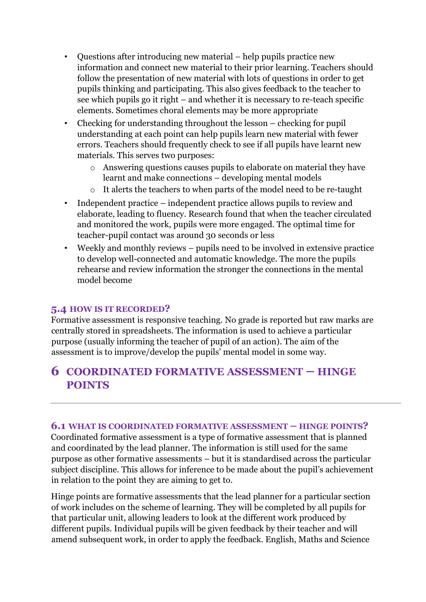- Questions after introducing new material help pupils practice new information and connect new material to their prior learning. Teachers should follow the presentation of new material with lots of questions in order to get pupils thinking and participating. This also gives feedback to the teacher to see which pupils go it right – and whether it is necessary to re-teach specific elements. Sometimes choral elements may be more appropriate
- Checking for understanding throughout the lesson checking for pupil understanding at each point can help pupils learn new material with fewer errors. Teachers should frequently check to see if all pupils have learnt new materials. This serves two purposes:
	- o Answering questions causes pupils to elaborate on material they have learnt and make connections – developing mental models
	- o It alerts the teachers to when parts of the model need to be re-taught
- Independent practice independent practice allows pupils to review and elaborate, leading to fluency. Research found that when the teacher circulated and monitored the work, pupils were more engaged. The optimal time for teacher-pupil contact was around 30 seconds or less
- Weekly and monthly reviews pupils need to be involved in extensive practice to develop well-connected and automatic knowledge. The more the pupils rehearse and review information the stronger the connections in the mental model become

# **5.4 HOW IS IT RECORDED?**

Formative assessment is responsive teaching. No grade is reported but raw marks are centrally stored in spreadsheets. The information is used to achieve a particular purpose (usually informing the teacher of pupil of an action). The aim of the assessment is to improve/develop the pupils' mental model in some way.

# **6 COORDINATED FORMATIVE ASSESSMENT – HINGE POINTS**

## **6.1 WHAT IS COORDINATED FORMATIVE ASSESSMENT – HINGE POINTS?**

Coordinated formative assessment is a type of formative assessment that is planned and coordinated by the lead planner. The information is still used for the same purpose as other formative assessments – but it is standardised across the particular subject discipline. This allows for inference to be made about the pupil's achievement in relation to the point they are aiming to get to.

Hinge points are formative assessments that the lead planner for a particular section of work includes on the scheme of learning. They will be completed by all pupils for that particular unit, allowing leaders to look at the different work produced by different pupils. Individual pupils will be given feedback by their teacher and will amend subsequent work, in order to apply the feedback. English, Maths and Science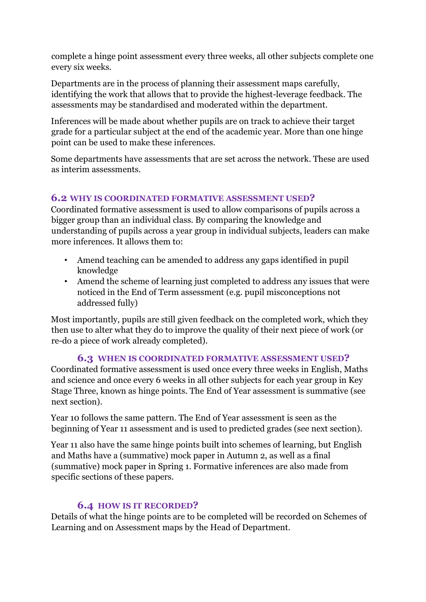complete a hinge point assessment every three weeks, all other subjects complete one every six weeks.

Departments are in the process of planning their assessment maps carefully, identifying the work that allows that to provide the highest-leverage feedback. The assessments may be standardised and moderated within the department.

Inferences will be made about whether pupils are on track to achieve their target grade for a particular subject at the end of the academic year. More than one hinge point can be used to make these inferences.

Some departments have assessments that are set across the network. These are used as interim assessments.

## **6.2 WHY IS COORDINATED FORMATIVE ASSESSMENT USED?**

Coordinated formative assessment is used to allow comparisons of pupils across a bigger group than an individual class. By comparing the knowledge and understanding of pupils across a year group in individual subjects, leaders can make more inferences. It allows them to:

- Amend teaching can be amended to address any gaps identified in pupil knowledge
- Amend the scheme of learning just completed to address any issues that were noticed in the End of Term assessment (e.g. pupil misconceptions not addressed fully)

Most importantly, pupils are still given feedback on the completed work, which they then use to alter what they do to improve the quality of their next piece of work (or re-do a piece of work already completed).

# **6.3 WHEN IS COORDINATED FORMATIVE ASSESSMENT USED?**

Coordinated formative assessment is used once every three weeks in English, Maths and science and once every 6 weeks in all other subjects for each year group in Key Stage Three, known as hinge points. The End of Year assessment is summative (see next section).

Year 10 follows the same pattern. The End of Year assessment is seen as the beginning of Year 11 assessment and is used to predicted grades (see next section).

Year 11 also have the same hinge points built into schemes of learning, but English and Maths have a (summative) mock paper in Autumn 2, as well as a final (summative) mock paper in Spring 1. Formative inferences are also made from specific sections of these papers.

# **6.4 HOW IS IT RECORDED?**

Details of what the hinge points are to be completed will be recorded on Schemes of Learning and on Assessment maps by the Head of Department.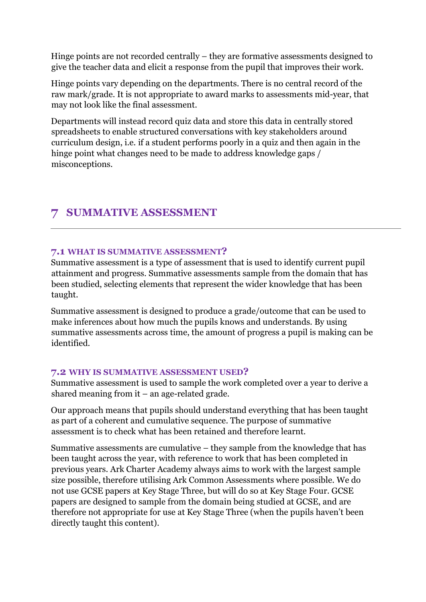Hinge points are not recorded centrally – they are formative assessments designed to give the teacher data and elicit a response from the pupil that improves their work.

Hinge points vary depending on the departments. There is no central record of the raw mark/grade. It is not appropriate to award marks to assessments mid-year, that may not look like the final assessment.

Departments will instead record quiz data and store this data in centrally stored spreadsheets to enable structured conversations with key stakeholders around curriculum design, i.e. if a student performs poorly in a quiz and then again in the hinge point what changes need to be made to address knowledge gaps / misconceptions.

# **7 SUMMATIVE ASSESSMENT**

## **7.1 WHAT IS SUMMATIVE ASSESSMENT?**

Summative assessment is a type of assessment that is used to identify current pupil attainment and progress. Summative assessments sample from the domain that has been studied, selecting elements that represent the wider knowledge that has been taught.

Summative assessment is designed to produce a grade/outcome that can be used to make inferences about how much the pupils knows and understands. By using summative assessments across time, the amount of progress a pupil is making can be identified.

## **7.2 WHY IS SUMMATIVE ASSESSMENT USED?**

Summative assessment is used to sample the work completed over a year to derive a shared meaning from it – an age-related grade.

Our approach means that pupils should understand everything that has been taught as part of a coherent and cumulative sequence. The purpose of summative assessment is to check what has been retained and therefore learnt.

Summative assessments are cumulative – they sample from the knowledge that has been taught across the year, with reference to work that has been completed in previous years. Ark Charter Academy always aims to work with the largest sample size possible, therefore utilising Ark Common Assessments where possible. We do not use GCSE papers at Key Stage Three, but will do so at Key Stage Four. GCSE papers are designed to sample from the domain being studied at GCSE, and are therefore not appropriate for use at Key Stage Three (when the pupils haven't been directly taught this content).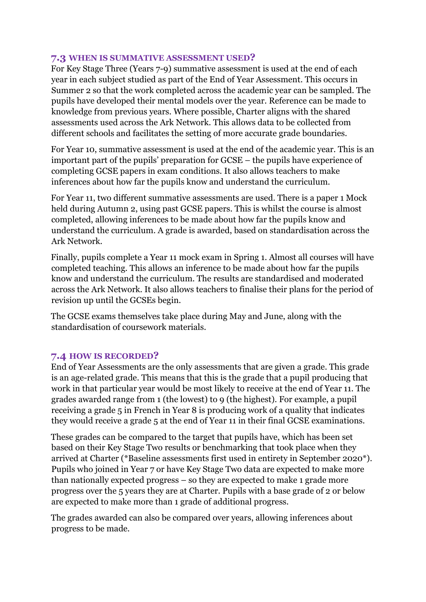#### **7.3 WHEN IS SUMMATIVE ASSESSMENT USED?**

For Key Stage Three (Years 7-9) summative assessment is used at the end of each year in each subject studied as part of the End of Year Assessment. This occurs in Summer 2 so that the work completed across the academic year can be sampled. The pupils have developed their mental models over the year. Reference can be made to knowledge from previous years. Where possible, Charter aligns with the shared assessments used across the Ark Network. This allows data to be collected from different schools and facilitates the setting of more accurate grade boundaries.

For Year 10, summative assessment is used at the end of the academic year. This is an important part of the pupils' preparation for GCSE – the pupils have experience of completing GCSE papers in exam conditions. It also allows teachers to make inferences about how far the pupils know and understand the curriculum.

For Year 11, two different summative assessments are used. There is a paper 1 Mock held during Autumn 2, using past GCSE papers. This is whilst the course is almost completed, allowing inferences to be made about how far the pupils know and understand the curriculum. A grade is awarded, based on standardisation across the Ark Network.

Finally, pupils complete a Year 11 mock exam in Spring 1. Almost all courses will have completed teaching. This allows an inference to be made about how far the pupils know and understand the curriculum. The results are standardised and moderated across the Ark Network. It also allows teachers to finalise their plans for the period of revision up until the GCSEs begin.

The GCSE exams themselves take place during May and June, along with the standardisation of coursework materials.

## **7.4 HOW IS RECORDED?**

End of Year Assessments are the only assessments that are given a grade. This grade is an age-related grade. This means that this is the grade that a pupil producing that work in that particular year would be most likely to receive at the end of Year 11. The grades awarded range from 1 (the lowest) to 9 (the highest). For example, a pupil receiving a grade 5 in French in Year 8 is producing work of a quality that indicates they would receive a grade 5 at the end of Year 11 in their final GCSE examinations.

These grades can be compared to the target that pupils have, which has been set based on their Key Stage Two results or benchmarking that took place when they arrived at Charter (\*Baseline assessments first used in entirety in September 2020\*). Pupils who joined in Year 7 or have Key Stage Two data are expected to make more than nationally expected progress – so they are expected to make 1 grade more progress over the 5 years they are at Charter. Pupils with a base grade of 2 or below are expected to make more than 1 grade of additional progress.

The grades awarded can also be compared over years, allowing inferences about progress to be made.